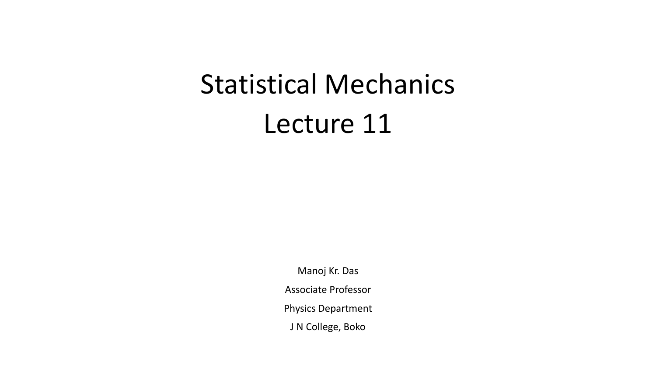## Statistical Mechanics Lecture 11

Manoj Kr. Das Associate Professor Physics Department J N College, Boko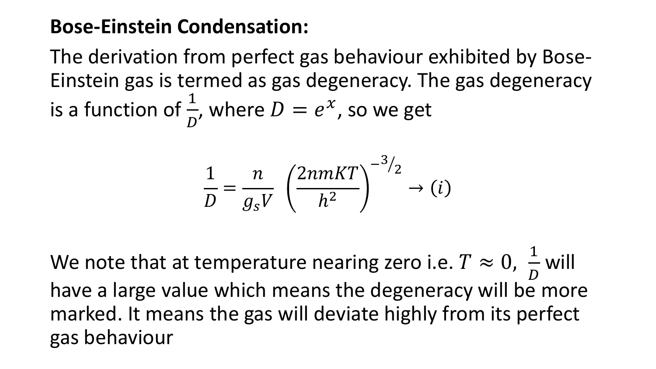## **Bose-Einstein Condensation:**

The derivation from perfect gas behaviour exhibited by Bose-Einstein gas is termed as gas degeneracy. The gas degeneracy is a function of  $\frac{1}{R}$  $\boldsymbol{D}$ , where  $D = e^x$ , so we get

$$
\frac{1}{D} = \frac{n}{g_s V} \left(\frac{2n mKT}{h^2}\right)^{-3/2} \rightarrow (i)
$$

We note that at temperature nearing zero i.e.  $T \approx 0$ , 1  $\boldsymbol{D}$ will have a large value which means the degeneracy will be more marked. It means the gas will deviate highly from its perfect gas behaviour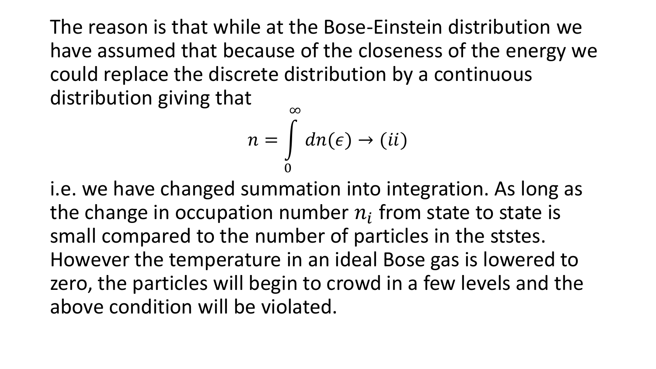The reason is that while at the Bose-Einstein distribution we have assumed that because of the closeness of the energy we could replace the discrete distribution by a continuous distribution giving that

$$
n = \int_{0}^{\infty} dn(\epsilon) \rightarrow (ii)
$$

i.e. we have changed summation into integration. As long as the change in occupation number  $n_i$  from state to state is small compared to the number of particles in the ststes. However the temperature in an ideal Bose gas is lowered to zero, the particles will begin to crowd in a few levels and the above condition will be violated.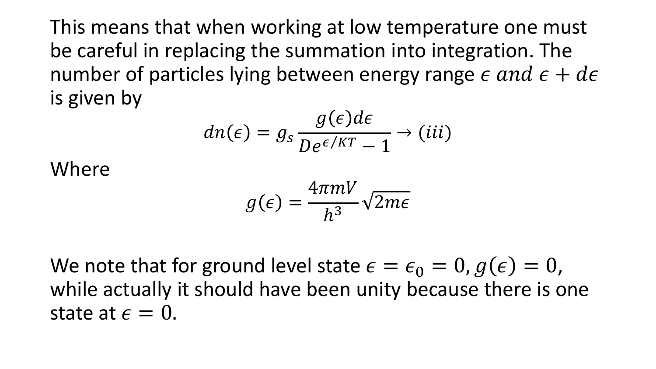This means that when working at low temperature one must be careful in replacing the summation into integration. The number of particles lying between energy range  $\epsilon$  and  $\epsilon + d\epsilon$ is given by

$$
dn(\epsilon) = g_s \frac{g(\epsilon)d\epsilon}{De^{\epsilon/KT} - 1} \rightarrow (iii)
$$

Where

$$
g(\epsilon) = \frac{4\pi mV}{h^3}\sqrt{2m\epsilon}
$$

We note that for ground level state  $\epsilon = \epsilon_0 = 0$ ,  $g(\epsilon) = 0$ , while actually it should have been unity because there is one state at  $\epsilon = 0$ .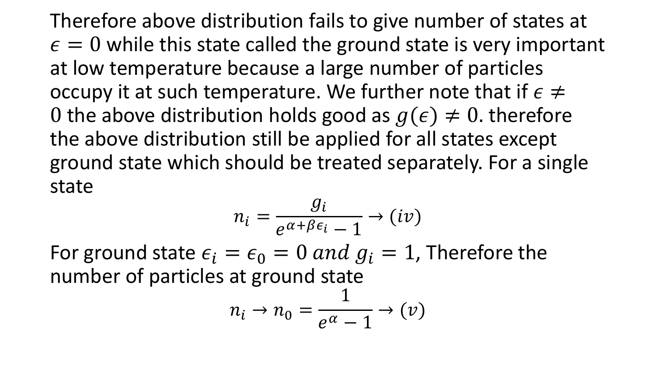Therefore above distribution fails to give number of states at  $\epsilon = 0$  while this state called the ground state is very important at low temperature because a large number of particles occupy it at such temperature. We further note that if  $\epsilon \neq 0$ 0 the above distribution holds good as  $g(\epsilon) \neq 0$ . therefore the above distribution still be applied for all states except ground state which should be treated separately. For a single state

$$
n_i = \frac{g_i}{e^{\alpha + \beta \epsilon_i} - 1} \rightarrow (iv)
$$

For ground state  $\epsilon_i = \epsilon_0 = 0$  and  $g_i = 1$ , Therefore the number of particles at ground state

$$
n_i \to n_0 = \frac{1}{e^{\alpha} - 1} \to (\nu)
$$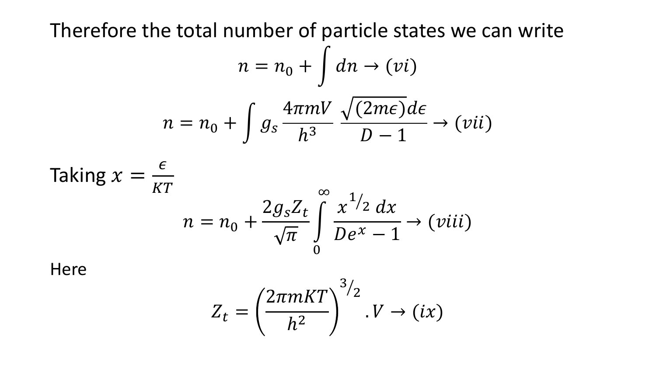Therefore the total number of particle states we can write

$$
n = n_0 + \int dn \to (vi)
$$

$$
n = n_0 + \int g_s \frac{4\pi mV}{h^3} \frac{\sqrt{(2m\epsilon)}d\epsilon}{D-1} \to (vii)
$$

Taking 
$$
x = \frac{\epsilon}{KT}
$$
  
\n
$$
n = n_0 + \frac{2g_s Z_t}{\sqrt{\pi}} \int_{0}^{\infty} \frac{x^{1/2} dx}{De^x - 1} \rightarrow (viii)
$$

Here

$$
Z_t = \left(\frac{2\pi mKT}{h^2}\right)^{3/2} . V \to (ix)
$$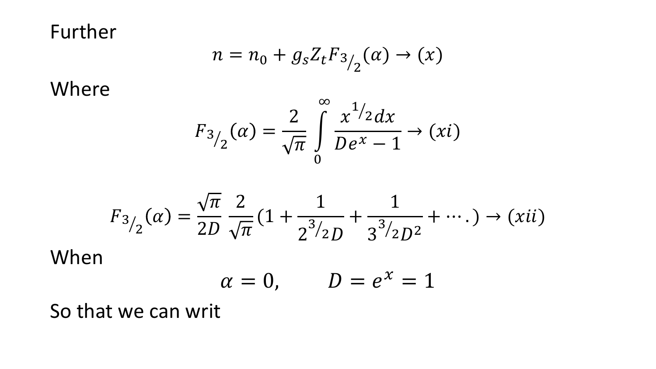Further

$$
n = n_0 + g_s Z_t F_{3/2}(\alpha) \rightarrow (x)
$$

Where

$$
F_{3/2}(\alpha) = \frac{2}{\sqrt{\pi}} \int_{0}^{\infty} \frac{x^{1/2} dx}{De^{x} - 1} \to (xi)
$$

$$
F_{3/2}(\alpha) = \frac{\sqrt{\pi}}{2D} \frac{2}{\sqrt{\pi}} \left(1 + \frac{1}{2^{3/2}D} + \frac{1}{3^{3/2}D^{2}} + \cdots \right) \to (xii)
$$

When

$$
\alpha=0, \qquad D=e^x=1
$$

So that we can writ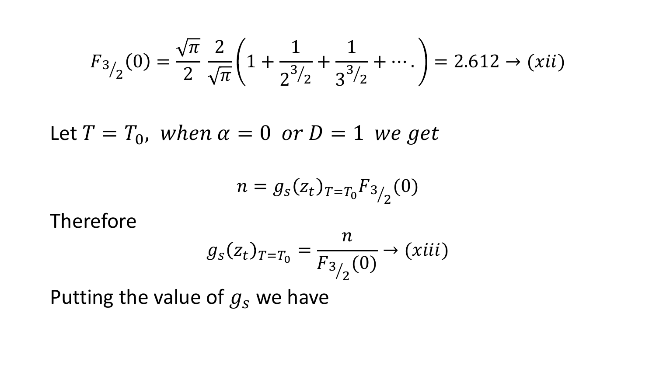$$
F_{3/2}(0) = \frac{\sqrt{\pi}}{2} \frac{2}{\sqrt{\pi}} \left( 1 + \frac{1}{2^{3/2}} + \frac{1}{3^{3/2}} + \cdots \right) = 2.612 \rightarrow (xii)
$$

Let  $T=T_0$ , when  $\alpha=0$  or  $D=1$  we get

$$
n = g_s(z_t)_{T=T_0} F_{3/2}(0)
$$

Therefore

$$
g_s(z_t)_{T=T_0} = \frac{n}{F_{3/2}(0)} \to (xiii)
$$

Putting the value of  $g_s$  we have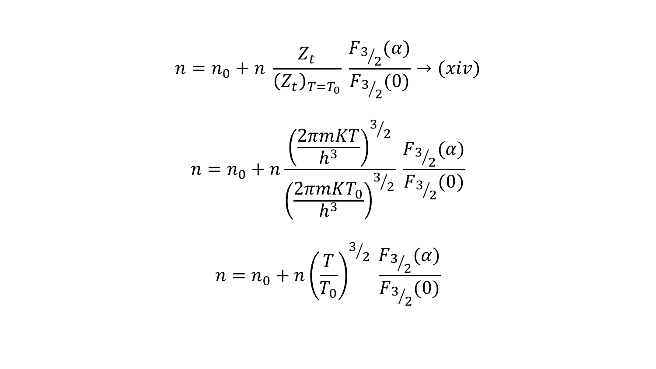$$
n = n_0 + n \frac{Z_t}{(Z_t)_{T=T_0}} \frac{F_{3/2}(\alpha)}{F_{3/2}(0)} \to (xiv)
$$

$$
n = n_0 + n \frac{\left(\frac{2\pi mKT}{h^3}\right)^{3/2} F_{3/2}(\alpha)}{\left(\frac{2\pi mKT_0}{h^3}\right)^{3/2} F_{3/2}(0)}
$$

$$
n = n_0 + n \left(\frac{T}{T_0}\right)^{3/2} \frac{F_{3/2}(\alpha)}{F_{3/2}(0)}
$$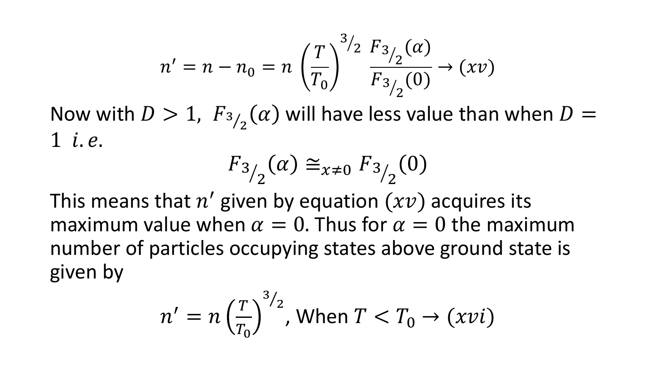$$
n' = n - n_0 = n \left(\frac{T}{T_0}\right)^{3/2} \frac{F_{3/2}(\alpha)}{F_{3/2}(0)} \to (xv)
$$

Now with  $D > 1$ ,  $F_{3/2}$ 2  $\alpha$ ) will have less value than when  $D =$  $1$  *i.e.* 

$$
F_{3/2}(\alpha) \cong_{x \neq 0} F_{3/2}(0)
$$

This means that  $n'$  given by equation  $(xv)$  acquires its maximum value when  $\alpha = 0$ . Thus for  $\alpha = 0$  the maximum number of particles occupying states above ground state is given by

$$
n' = n \left(\frac{T}{T_0}\right)^{3/2}, \text{ When } T < T_0 \to (xvi)
$$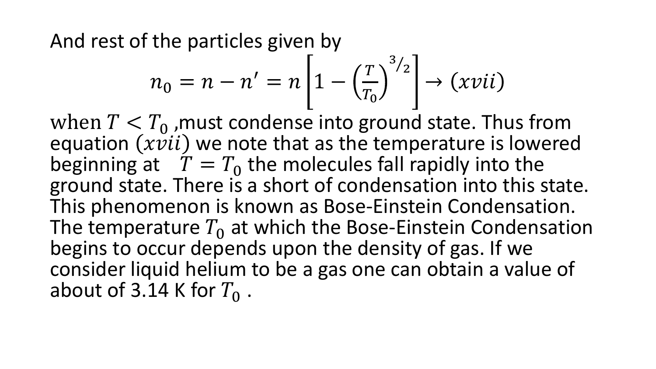And rest of the particles given by

$$
n_0 = n - n' = n \left[ 1 - \left(\frac{T}{T_0}\right)^{3/2} \right] \rightarrow (xvii)
$$

when  $T < T_0$ , must condense into ground state. Thus from equation  $(xvii)$  we note that as the temperature is lowered beginning at  $T = T_0$  the molecules fall rapidly into the ground state. There is a short of condensation into this state. This phenomenon is known as Bose-Einstein Condensation. The temperature  $T_0$  at which the Bose-Einstein Condensation begins to occur depends upon the density of gas. If we consider liquid helium to be a gas one can obtain a value of about of 3.14 K for  $T_0$ .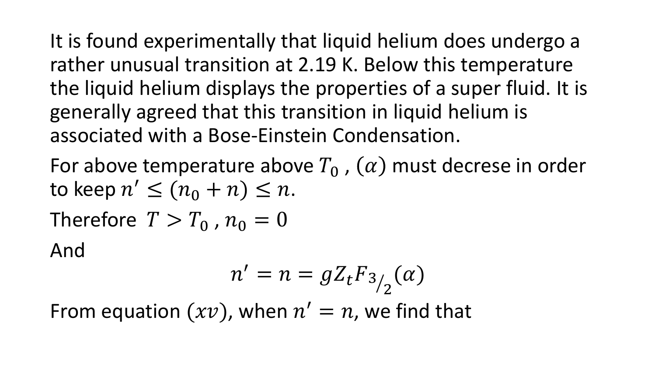It is found experimentally that liquid helium does undergo a rather unusual transition at 2.19 K. Below this temperature the liquid helium displays the properties of a super fluid. It is generally agreed that this transition in liquid helium is associated with a Bose-Einstein Condensation.

For above temperature above  $T_0$ ,  $(\alpha)$  must decrese in order to keep  $n' \leq (n_0 + n) \leq n$ . Therefore  $T > T_0$ ,  $n_0 = 0$ And

$$
n'=n=gZ_tF_{3/2}(\alpha)
$$

From equation  $(xv)$ , when  $n' = n$ , we find that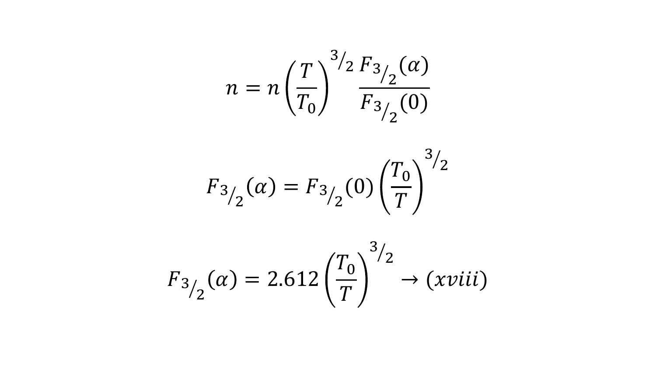$$
n = n \left(\frac{T}{T_0}\right)^{3/2} \frac{F_{3/2}(\alpha)}{F_{3/2}(0)}
$$

$$
F_{3/2}(\alpha) = F_{3/2}(0) \left(\frac{T_0}{T}\right)^{3/2}
$$

$$
F_{3/2}(\alpha) = 2.612 \left(\frac{T_0}{T}\right)^{3/2} \rightarrow (xviii)
$$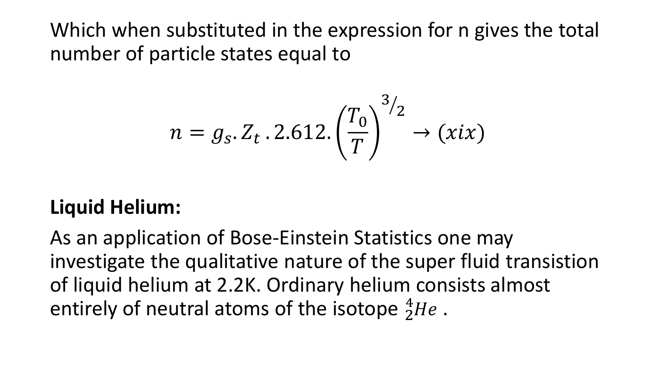Which when substituted in the expression for n gives the total number of particle states equal to

$$
n = g_s \cdot Z_t \cdot 2.612 \cdot \left(\frac{T_0}{T}\right)^{3/2} \to (xix)
$$

## **Liquid Helium:**

As an application of Bose-Einstein Statistics one may investigate the qualitative nature of the super fluid transistion of liquid helium at 2.2K. Ordinary helium consists almost entirely of neutral atoms of the isotope  ${}^{4}_{2}He$ .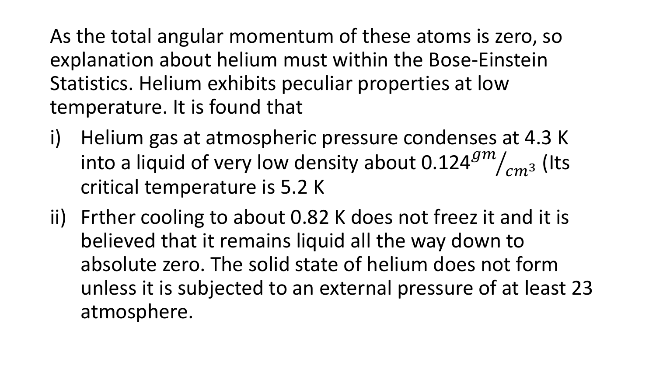As the total angular momentum of these atoms is zero, so explanation about helium must within the Bose-Einstein Statistics. Helium exhibits peculiar properties at low temperature. It is found that

- i) Helium gas at atmospheric pressure condenses at 4.3 K into a liquid of very low density about 0.124 $^{gm}/($  $g m$  $_{cm^3}^{\prime}$  (Its critical temperature is 5.2 K
- ii) Frther cooling to about 0.82 K does not freez it and it is believed that it remains liquid all the way down to absolute zero. The solid state of helium does not form unless it is subjected to an external pressure of at least 23 atmosphere.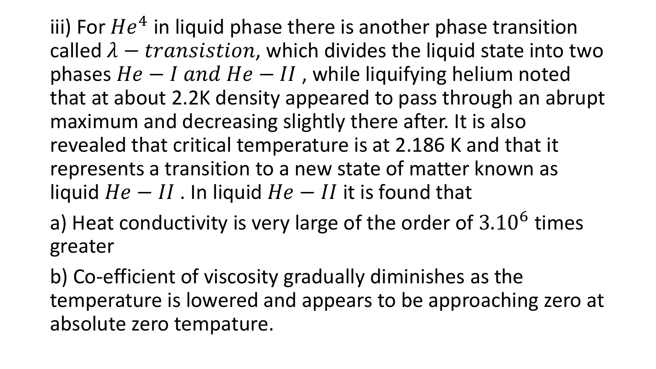iii) For  $He^4$  in liquid phase there is another phase transition called  $\lambda - transition$ , which divides the liquid state into two phases  $He - I$  and  $He - II$ , while liquifying helium noted that at about 2.2K density appeared to pass through an abrupt maximum and decreasing slightly there after. It is also revealed that critical temperature is at 2.186 K and that it represents a transition to a new state of matter known as liquid  $He - II$ . In liquid  $He - II$  it is found that

a) Heat conductivity is very large of the order of  $3.10^6$  times greater

b) Co-efficient of viscosity gradually diminishes as the temperature is lowered and appears to be approaching zero at absolute zero tempature.